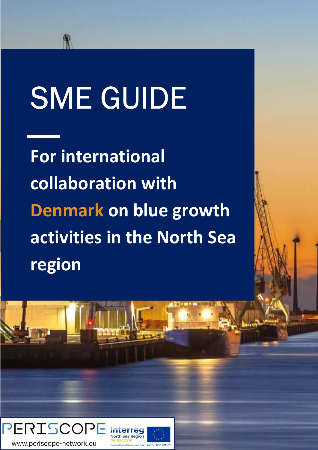# SME GUIDE

For international collaboration with Denmark on blue growth activities in the North Sea region

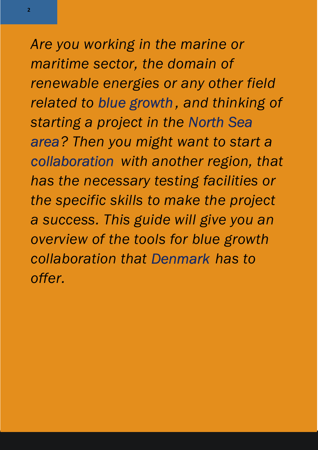Are you working in the marine or maritime sector, the domain of renewable energies or any other field related to blue growth , and thinking of starting a project in the North Sea area? Then you might want to start a collaboration with another region, that has the necessary testing facilities or the specific skills to make the project a success. This guide will give you an overview of the tools for blue growth collaboration that Denmark has to offer.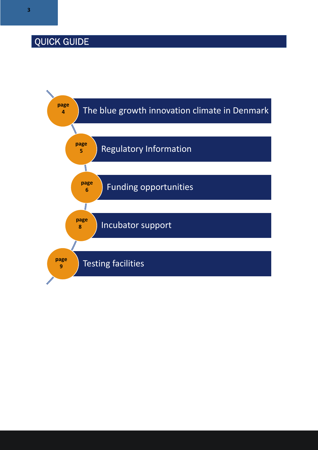## QUICK GUIDE

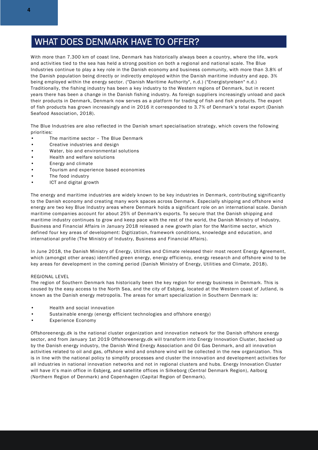#### WHAT DOES DENMARK HAVE TO OFFER?

With more than 7.300 km of coast line, Denmark has historically always been a country, where the life, work and activities tied to the sea has held a strong position on both a regional and national scale. The Blue Industries continue to play a key role in the Danish economy and business community, with more than 3.8% of the Danish population being directly or indirectly employed within the Danish maritime industry and app. 3% being employed within the energy sector. ("Danish Maritime Authority", n.d.) ("Energistyrelsen" n.d.) Traditionally, the fishing industry has been a key industry to the Western regions of Denmark, but in recent years there has been a change in the Danish fishing industry. As foreign suppliers increasingly unload and pack their products in Denmark, Denmark now serves as a platform for trading of fish and fish products. The export of fish products has grown increasingly and in 2016 it corresponded to 3.7% of Denmark's total export (Danish Seafood Association, 2018).

The Blue Industries are also reflected in the Danish smart specialisation strategy, which covers the following priorities:

- The maritime sector The Blue Denmark
- Creative industries and design
- Water, bio and environmental solutions
- Health and welfare solutions
- Energy and climate
- Tourism and experience based economies
- The food industry
- ICT and digital growth

The energy and maritime industries are widely known to be key industries in Denmark, contributing significantly to the Danish economy and creating many work spaces across Denmark. Especially shipping and offshore wind energy are two key Blue Industry areas where Denmark holds a significant role on an international scale. Danish maritime companies account for about 25% of Denmark's exports. To secure that the Danish shipping and maritime industry continues to grow and keep pace with the rest of the world, the Danish Ministry of Industry, Business and Financial Affairs in January 2018 released a new growth plan for the Maritime sector, which defined four key areas of development: Digitization, framework conditions, knowledge and education, and international profile (The Ministry of Industry, Business and Financial Affairs).

In June 2018, the Danish Ministry of Energy, Utilities and Climate released their most recent Energy Agreement, which (amongst other areas) identified green energy, energy efficiency, energy research and offshore wind to be key areas for development in the coming period (Danish Ministry of Energy, Utilities and Climate, 2018).

#### REGIONAL LEVEL

The region of Southern Denmark has historically been the key region for energy business in Denmark. This is caused by the easy access to the North Sea, and the city of Esbjerg, located at the Western coast of Jutland, is known as the Danish energy metropolis. The areas for smart specialization in Southern Denmark is:

- Health and social innovation
- Sustainable energy (energy efficient technologies and offshore energy)
- Experience Economy

Offshoreenergy.dk is the national cluster organization and innovation network for the Danish offshore energy sector, and from January 1st 2019 Offshoreenergy.dk will transform into Energy Innovation Cluster, backed up by the Danish energy industry, the Danish Wind Energy Association and Oil Gas Denmark, and all innovation activities related to oil and gas, offshore wind and onshore wind will be collected in the new organization. This is in line with the national policy to simplify processes and cluster the innovation and development activities for all industries in national innovation networks and not in regional clusters and hubs. Energy Innovation Cluster will have it's main office in Esbjerg, and satellite offices in Silkeborg (Central Denmark Region), Aalborg (Northern Region of Denmark) and Copenhagen (Capital Region of Denmark).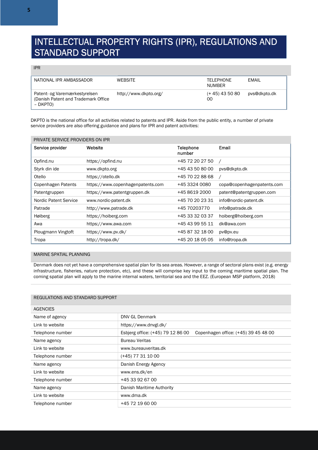#### INTELLECTUAL PROPERTY RIGHTS (IPR), REGULATIONS AND STANDARD SUPPORT

IPR

| NATIONAL IPR AMBASSADOR                                                           | <b>WEBSITE</b>        | <b>TELEPHONE</b><br><b>NUMBER</b> | FMAIL        |
|-----------------------------------------------------------------------------------|-----------------------|-----------------------------------|--------------|
| Patent- og Varemærkestyrelsen<br>(Danish Patent and Trademark Office)<br>– DKPTO) | http://www.dkpto.org/ | $(+ 45)$ 43 50 80<br>00           | pys@dkpto.dk |

DKPTO is the national office for all activities related to patents and IPR. Aside from the public entity, a number of private service providers are also offering guidance and plans for IPR and patent activities:

| PRIVATE SERVICE PROVIDERS ON IPR |                                   |                            |                            |
|----------------------------------|-----------------------------------|----------------------------|----------------------------|
| Service provider                 | Website                           | <b>Telephone</b><br>number | Email                      |
| Opfind.nu                        | https://opfind.nu                 | +45 72 20 27 50            |                            |
| Styrk din ide                    | www.dkpto.org                     | +45 43 50 80 00            | pys@dkpto.dk               |
| Otello                           | https://otello.dk                 | +45 70 22 88 68            |                            |
| Copenhagen Patents               | https://www.copenhagenpatents.com | +45 3324 0080              | copa@copenhagenpatents.com |
| Patentgruppen                    | https://www.patentgruppen.dk      | +45 8619 2000              | patent@patentgruppen.com   |
| Nordic Patent Service            | www.nordic-patent.dk              | +45 70 20 23 31            | info@nordic-patent.dk      |
| Patrade                          | http://www.patrade.dk             | +45 70203770               | info@patrade.dk            |
| Høiberg                          | https://hoiberg.com               | +45 33 32 03 37            | hoiberg@hoiberg.com        |
| Awa                              | https://www.awa.com               | +45 43 99 55 11            | dk@awa.com                 |
| Plougmann Vingtoft               | https://www.pv.dk/                | +45 87 32 18 00            | pv@pv.eu                   |
| Tropa                            | http://tropa.dk/                  | +45 20 18 05 05            | info@tropa.dk              |

#### MARINE SPATIAL PLANNING

Denmark does not yet have a comprehensive spatial plan for its sea areas. However, a range of sectoral plans exist (e.g. energy infrastructure, fisheries, nature protection, etc), and these will comprise key input to the coming maritime spatial plan. The coming spatial plan will apply to the marine internal waters, territorial sea and the EEZ. (European MSP platform, 2018)

| REGULATIONS AND STANDARD SUPPORT |                                                                           |  |
|----------------------------------|---------------------------------------------------------------------------|--|
| <b>AGENCIES</b>                  |                                                                           |  |
| Name of agency                   | DNV GL Denmark                                                            |  |
| Link to website                  | https://www.dnvgl.dk/                                                     |  |
| Telephone number                 | Esbjerg office: (+45) 79 12 86 00<br>Copenhagen office: (+45) 39 45 48 00 |  |
| Name agency                      | <b>Bureau Veritas</b>                                                     |  |
| Link to website                  | www.bureauveritas.dk                                                      |  |
| Telephone number                 | (+45) 77 31 10 00                                                         |  |
| Name agency                      | Danish Energy Agency                                                      |  |
| Link to website                  | www.ens.dk/en                                                             |  |
| Telephone number                 | +45 33 92 67 00                                                           |  |
| Name agency                      | Danish Maritime Authority                                                 |  |
| Link to website                  | www.dma.dk                                                                |  |
| Telephone number                 | +45 72 19 60 00                                                           |  |

#### REGULATIONS AND STANDARD SUPPORT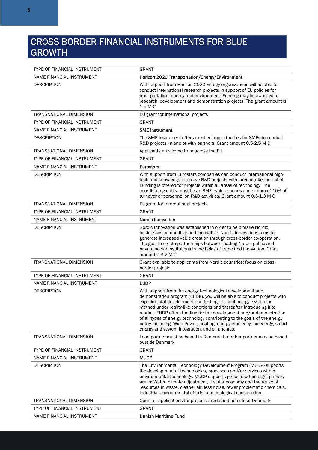### CROSS BORDER FINANCIAL INSTRUMENTS FOR BLUE GROWTH

| TYPE OF FINANCIAL INSTRUMENT   | <b>GRANT</b>                                                                                                                                                                                                                                                                                                                                                                                                                                                                                                                                                            |
|--------------------------------|-------------------------------------------------------------------------------------------------------------------------------------------------------------------------------------------------------------------------------------------------------------------------------------------------------------------------------------------------------------------------------------------------------------------------------------------------------------------------------------------------------------------------------------------------------------------------|
| NAME FINANCIAL INSTRUMENT      | Horizon 2020 Transportation/Energy/Environment                                                                                                                                                                                                                                                                                                                                                                                                                                                                                                                          |
| <b>DESCRIPTION</b>             | With support from Horizon 2020 Energy organizations will be able to<br>conduct international research projects in support of EU policies for<br>transportation, energy and environment. Funding may be awarded to<br>research, development and demonstration projects. The grant amount is<br>1-5 M €                                                                                                                                                                                                                                                                   |
| TRANSNATIONAL DIMENSION        | EU grant for international projects                                                                                                                                                                                                                                                                                                                                                                                                                                                                                                                                     |
| TYPE OF FINANCIAL INSTRUMENT   | <b>GRANT</b>                                                                                                                                                                                                                                                                                                                                                                                                                                                                                                                                                            |
| NAME FINANCIAL INSTRUMENT      | <b>SME Instrument</b>                                                                                                                                                                                                                                                                                                                                                                                                                                                                                                                                                   |
| <b>DESCRIPTION</b>             | The SME instrument offers excellent opportunities for SMEs to conduct<br>R&D projects - alone or with partners. Grant amount 0.5-2.5 M €                                                                                                                                                                                                                                                                                                                                                                                                                                |
| <b>TRANSNATIONAL DIMENSION</b> | Applicants may come from across the EU                                                                                                                                                                                                                                                                                                                                                                                                                                                                                                                                  |
| TYPE OF FINANCIAL INSTRUMENT   | <b>GRANT</b>                                                                                                                                                                                                                                                                                                                                                                                                                                                                                                                                                            |
| NAME FINANCIAL INSTRUMENT      | <b>Eurostars</b>                                                                                                                                                                                                                                                                                                                                                                                                                                                                                                                                                        |
| <b>DESCRIPTION</b>             | With support from Eurostars companies can conduct international high-<br>tech and knowledge intensive R&D projects with large market potential.<br>Funding is offered for projects within all areas of technology. The<br>coordinating entity must be an SME, which spends a minimum of 10% of<br>turnover or personnel on R&D activities. Grant amount 0.3-1.3 M €                                                                                                                                                                                                     |
| <b>TRANSNATIONAL DIMENSION</b> | Eu grant for international projects                                                                                                                                                                                                                                                                                                                                                                                                                                                                                                                                     |
| TYPE OF FINANCIAL INSTRUMENT   | <b>GRANT</b>                                                                                                                                                                                                                                                                                                                                                                                                                                                                                                                                                            |
| NAME FINANCIAL INSTRUMENT      | <b>Nordic Innovation</b>                                                                                                                                                                                                                                                                                                                                                                                                                                                                                                                                                |
| <b>DESCRIPTION</b>             | Nordic Innovation was established in order to help make Nordic<br>businesses competitive and innovative. Nordic Innovations aims to<br>generate increased value creation through cross-border co-operation.<br>The goal to create partnerships between leading Nordic public and<br>private sector institutions in the fields of trade and innovation. Grant<br>amount 0.3-2 M €                                                                                                                                                                                        |
| TRANSNATIONAL DIMENSION        | Grant available to applicants from Nordic countries; focus on cross-<br>border projects                                                                                                                                                                                                                                                                                                                                                                                                                                                                                 |
| TYPE OF FINANCIAL INSTRUMENT   | <b>GRANT</b>                                                                                                                                                                                                                                                                                                                                                                                                                                                                                                                                                            |
| NAME FINANCIAL INSTRUMENT      | <b>EUDP</b>                                                                                                                                                                                                                                                                                                                                                                                                                                                                                                                                                             |
| <b>DESCRIPTION</b>             | With support from the energy technological development and<br>demonstration program (EUDP), you will be able to conduct projects with<br>experimental development and testing of a technology, system or<br>method under reality-like conditions and thereafter introducing it to<br>market. EUDP offers funding for the development and/or demonstration<br>of all types of energy technology contributing to the goals of the energy<br>policy including: Wind Power, heating, energy efficiency, bioenergy, smart<br>energy and system integration, and oil and gas. |
| <b>TRANSNATIONAL DIMENSION</b> | Lead partner must be based in Denmark but other partner may be based<br>outside Denmark                                                                                                                                                                                                                                                                                                                                                                                                                                                                                 |
| TYPE OF FINANCIAL INSTRUMENT   | <b>GRANT</b>                                                                                                                                                                                                                                                                                                                                                                                                                                                                                                                                                            |
| NAME FINANCIAL INSTRUMENT      | <b>MUDP</b>                                                                                                                                                                                                                                                                                                                                                                                                                                                                                                                                                             |
| <b>DESCRIPTION</b>             | The Environmental Technology Development Program (MUDP) supports<br>the development of technologies, processes and/or services within<br>environmental technology. MUDP supports projects within eight primary<br>areas: Water, climate adjustment, circular economy and the reuse of<br>resources in waste, cleaner air, less noise, fewer problematic chemicals,<br>industrial environmental efforts, and ecological construction.                                                                                                                                    |
| TRANSNATIONAL DIMENSION        | Open for applications for projects inside and outside of Denmark                                                                                                                                                                                                                                                                                                                                                                                                                                                                                                        |
| TYPE OF FINANCIAL INSTRUMENT   | <b>GRANT</b>                                                                                                                                                                                                                                                                                                                                                                                                                                                                                                                                                            |
| NAME FINANCIAL INSTRUMENT      | Danish Maritime Fund                                                                                                                                                                                                                                                                                                                                                                                                                                                                                                                                                    |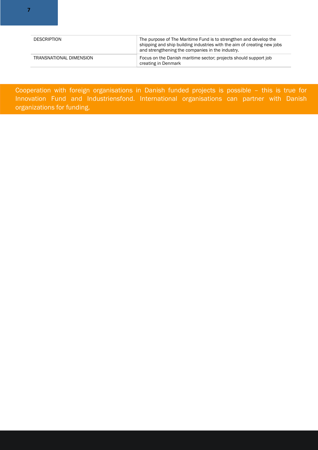| <b>DESCRIPTION</b>      | The purpose of The Maritime Fund is to strengthen and develop the<br>shipping and ship building industries with the aim of creating new jobs<br>and strengthening the companies in the industry.<br>Focus on the Danish maritime sector; projects should support job<br>creating in Denmark |  |
|-------------------------|---------------------------------------------------------------------------------------------------------------------------------------------------------------------------------------------------------------------------------------------------------------------------------------------|--|
| TRANSNATIONAL DIMENSION |                                                                                                                                                                                                                                                                                             |  |

Cooperation with foreign organisations in Danish funded projects is possible – this is true for Innovation Fund and Industriensfond. International organisations can partner with Danish organizations for funding.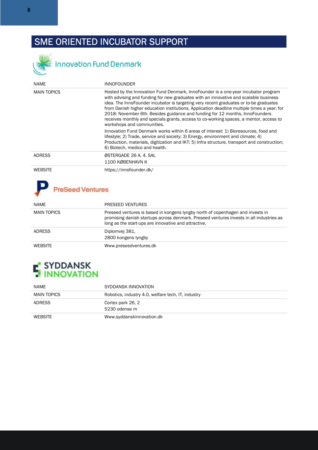## SME ORIENTED INCUBATOR SUPPORT



Innovation Fund Denmark

| <b>NAME</b>        | <b>INNOFOUNDER</b>                                                                                                                                                                                                                                                                                                                                                                                                                                                                                                                                                        |
|--------------------|---------------------------------------------------------------------------------------------------------------------------------------------------------------------------------------------------------------------------------------------------------------------------------------------------------------------------------------------------------------------------------------------------------------------------------------------------------------------------------------------------------------------------------------------------------------------------|
| <b>MAIN TOPICS</b> | Hosted by the Innovation Fund Denmark, InnoFounder is a one-year incubator program<br>with advising and funding for new graduates with an innovative and scalable business<br>idea. The InnoFounder incubator is targeting very recent graduates or to-be graduates<br>from Danish higher education institutions. Application deadline multiple times a year; for<br>2018: November 6th. Besides guidance and funding for 12 months, InnoFounders<br>receives monthly and specials grants, access to co-working spaces, a mentor, access to<br>workshops and communities. |
|                    | Innovation Fund Denmark works within 6 areas of interest: 1) Bioresources, food and<br>lifestyle; 2) Trade, service and society; 3) Energy, environment and climate; 4)<br>Production, materials, digitization and IKT; 5) Infra structure, transport and construction;<br>6) Biotech, medico and health.                                                                                                                                                                                                                                                                 |
| <b>ADRESS</b>      | ØSTERGADE 26 A, 4. SAL<br>1100 KØBENHAVN K                                                                                                                                                                                                                                                                                                                                                                                                                                                                                                                                |
| <b>WEBSITE</b>     | https://innofounder.dk/                                                                                                                                                                                                                                                                                                                                                                                                                                                                                                                                                   |

## P PreSeed Ventures

| <b>NAME</b>        | PRESEED VENTURES                                                                                                                                                                                                                  |
|--------------------|-----------------------------------------------------------------------------------------------------------------------------------------------------------------------------------------------------------------------------------|
| <b>MAIN TOPICS</b> | Preseed ventures is based in kongens lyngby north of copenhagen and invests in<br>promising danish startups across denmark. Preseed ventures invests in all industries as<br>long as the start-ups are innovative and attractive. |
| ADRESS             | Diplomvej 381,<br>2800 kongens lyngby                                                                                                                                                                                             |
| <b>WEBSITE</b>     | Www.preseedventures.dk                                                                                                                                                                                                            |

# **F** SYDDANSK<br>**HINNOVATION**

| NAME          | SYDDANSK INNOVATION                                |
|---------------|----------------------------------------------------|
| MAIN TOPICS   | Robotics, industry 4.0, welfare tech, IT, industry |
| <b>ADRESS</b> | Cortex park 26, 2                                  |
|               | 5230 odense m                                      |
| WEBSITE       | Www.syddanskinnovation.dk                          |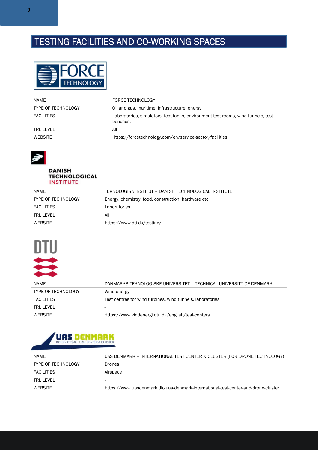## TESTING FACILITIES AND CO-WORKING SPACES



| <b>NAME</b>                                                                | <b>FORCE TECHNOLOGY</b>                                                                      |
|----------------------------------------------------------------------------|----------------------------------------------------------------------------------------------|
| Oil and gas, maritime, infrastructure, energy<br><b>TYPE OF TECHNOLOGY</b> |                                                                                              |
| <b>FACILITIES</b>                                                          | Laboratories, simulators, test tanks, environment test rooms, wind tunnels, test<br>benches. |
| TRI I FVFI                                                                 | All                                                                                          |
| <b>WEBSITE</b>                                                             | Https://forcetechnology.com/en/service-sector/facilities                                     |



#### **DANISH TECHNOLOGICAL INSTITUTE**

| NAME                      | TEKNOLOGISK INSTITUT – DANISH TECHNOLOGICAL INSTITUTE |
|---------------------------|-------------------------------------------------------|
| <b>TYPE OF TECHNOLOGY</b> | Energy, chemistry, food, construction, hardware etc.  |
| <b>FACILITIES</b>         | Laboratories                                          |
| TRI I FVFI                | All                                                   |
| <b>WEBSITE</b>            | Https://www.dti.dk/testing/                           |



| <b>NAME</b>               | DANMARKS TEKNOLOGISKE UNIVERSITET – TECHNICAL UNIVERSITY OF DENMARK |
|---------------------------|---------------------------------------------------------------------|
| <b>TYPE OF TECHNOLOGY</b> | Wind energy                                                         |
| <b>FACILITIES</b>         | Test centres for wind turbines, wind tunnels, laboratories          |
| TRI I FVFI                | -                                                                   |
| <b>WEBSITE</b>            | Https://www.vindenergi.dtu.dk/english/test-centers                  |



| <b>NAME</b>               | UAS DENMARK – INTERNATIONAL TEST CENTER & CLUSTER (FOR DRONE TECHNOLOGY)          |
|---------------------------|-----------------------------------------------------------------------------------|
| <b>TYPE OF TECHNOLOGY</b> | Drones                                                                            |
| <b>FACILITIES</b>         | Airspace                                                                          |
| TRI I FVFI                | $\overline{\phantom{a}}$                                                          |
| WEBSITE                   | Https://www.uasdenmark.dk/uas-denmark-international-test-center-and-drone-cluster |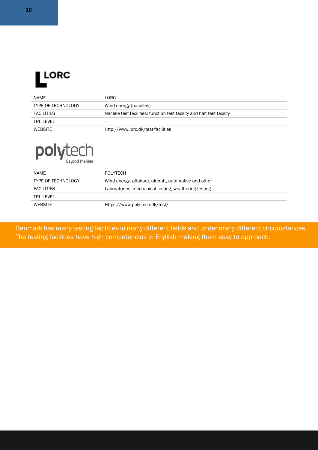

| NAME                      | LORC                                                                   |
|---------------------------|------------------------------------------------------------------------|
| <b>TYPE OF TECHNOLOGY</b> | Wind energy (nacelles)                                                 |
| <b>FACILITIES</b>         | Nacelle test facilities: function test facility and halt test facility |
| TRI I FVFI                | -                                                                      |
| <b>WEBSITE</b>            | Http://www.lorc.dk/test-facilities                                     |



| <b>NAME</b>               | POLYTECH                                              |
|---------------------------|-------------------------------------------------------|
| <b>TYPE OF TECHNOLOGY</b> | Wind energy, offshore, aircraft, automotive and other |
| <b>FACILITIES</b>         | Laboratories, mechanical testing, weathering testing  |
| TRI I FVFI                |                                                       |
| <b>WEBSITE</b>            | Https://www.poly-tech.dk/test/                        |

Denmark has many testing facilities in many different fields and under many different circumstances. The testing facilities have high competencies in English making them easy to approach.